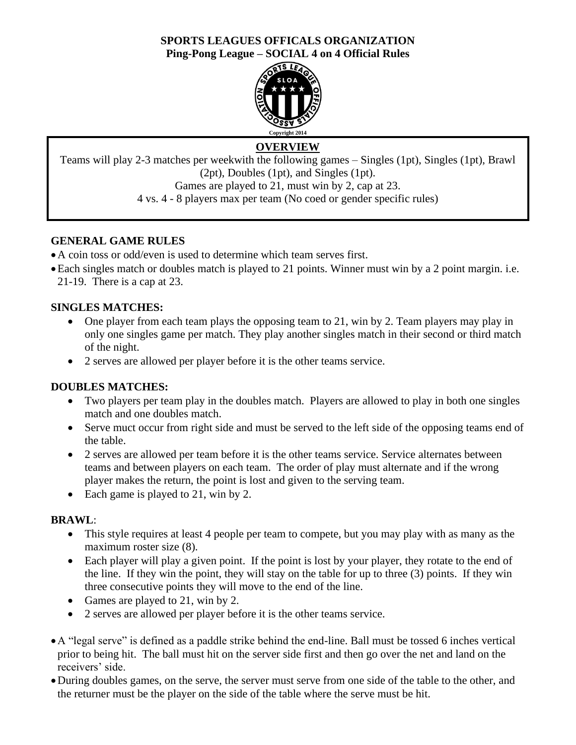## **SPORTS LEAGUES OFFICALS ORGANIZATION Ping-Pong League – SOCIAL 4 on 4 Official Rules**



# **OVERVIEW**

Teams will play 2-3 matches per weekwith the following games – Singles (1pt), Singles (1pt), Brawl (2pt), Doubles (1pt), and Singles (1pt). Games are played to 21, must win by 2, cap at 23.

4 vs. 4 - 8 players max per team (No coed or gender specific rules)

# **GENERAL GAME RULES**

- •A coin toss or odd/even is used to determine which team serves first.
- •Each singles match or doubles match is played to 21 points. Winner must win by a 2 point margin. i.e. 21-19. There is a cap at 23.

# **SINGLES MATCHES:**

- One player from each team plays the opposing team to 21, win by 2. Team players may play in only one singles game per match. They play another singles match in their second or third match of the night.
- 2 serves are allowed per player before it is the other teams service.

## **DOUBLES MATCHES:**

- Two players per team play in the doubles match. Players are allowed to play in both one singles match and one doubles match.
- Serve muct occur from right side and must be served to the left side of the opposing teams end of the table.
- 2 serves are allowed per team before it is the other teams service. Service alternates between teams and between players on each team. The order of play must alternate and if the wrong player makes the return, the point is lost and given to the serving team.
- Each game is played to 21, win by 2.

# **BRAWL**:

- This style requires at least 4 people per team to compete, but you may play with as many as the maximum roster size (8).
- Each player will play a given point. If the point is lost by your player, they rotate to the end of the line. If they win the point, they will stay on the table for up to three (3) points. If they win three consecutive points they will move to the end of the line.
- Games are played to 21, win by 2.
- 2 serves are allowed per player before it is the other teams service.
- •A "legal serve" is defined as a paddle strike behind the end-line. Ball must be tossed 6 inches vertical prior to being hit. The ball must hit on the server side first and then go over the net and land on the receivers' side.
- •During doubles games, on the serve, the server must serve from one side of the table to the other, and the returner must be the player on the side of the table where the serve must be hit.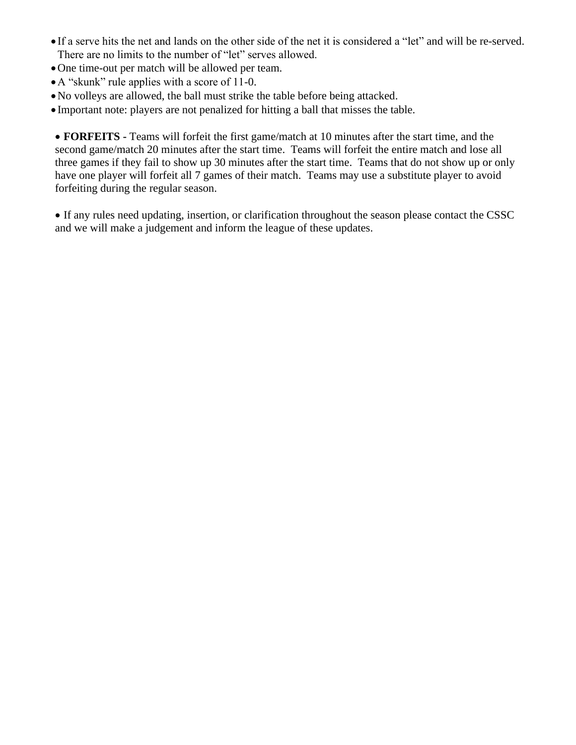- If a serve hits the net and lands on the other side of the net it is considered a "let" and will be re-served. There are no limits to the number of "let" serves allowed.
- •One time-out per match will be allowed per team.
- •A "skunk" rule applies with a score of 11-0.
- •No volleys are allowed, the ball must strike the table before being attacked.
- Important note: players are not penalized for hitting a ball that misses the table.

• **FORFEITS -** Teams will forfeit the first game/match at 10 minutes after the start time, and the second game/match 20 minutes after the start time. Teams will forfeit the entire match and lose all three games if they fail to show up 30 minutes after the start time. Teams that do not show up or only have one player will forfeit all 7 games of their match. Teams may use a substitute player to avoid forfeiting during the regular season.

• If any rules need updating, insertion, or clarification throughout the season please contact the CSSC and we will make a judgement and inform the league of these updates.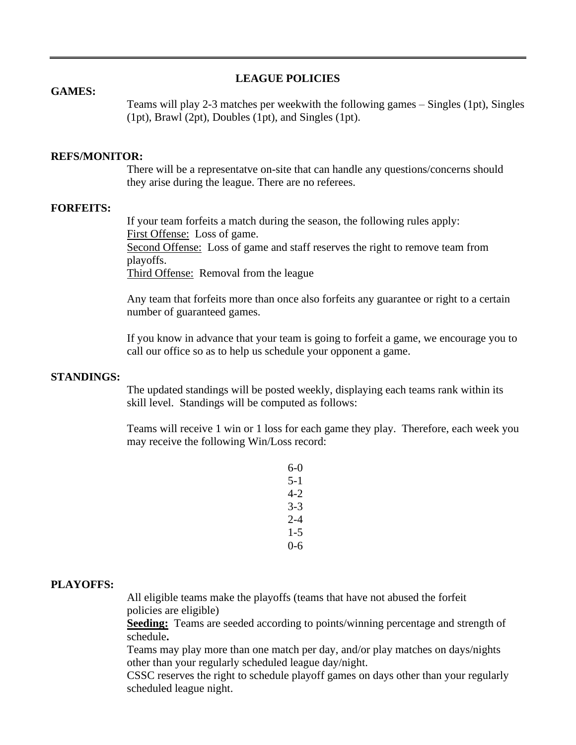### **LEAGUE POLICIES**

#### **GAMES:**

Teams will play 2-3 matches per weekwith the following games – Singles (1pt), Singles (1pt), Brawl (2pt), Doubles (1pt), and Singles (1pt).

### **REFS/MONITOR:**

There will be a representatve on-site that can handle any questions/concerns should they arise during the league. There are no referees.

## **FORFEITS:**

If your team forfeits a match during the season, the following rules apply: First Offense: Loss of game. Second Offense: Loss of game and staff reserves the right to remove team from playoffs. Third Offense: Removal from the league

Any team that forfeits more than once also forfeits any guarantee or right to a certain number of guaranteed games.

If you know in advance that your team is going to forfeit a game, we encourage you to call our office so as to help us schedule your opponent a game.

#### **STANDINGS:**

The updated standings will be posted weekly, displaying each teams rank within its skill level. Standings will be computed as follows:

Teams will receive 1 win or 1 loss for each game they play. Therefore, each week you may receive the following Win/Loss record:

| 6-0     |  |
|---------|--|
| 5-1     |  |
| 4-2     |  |
| 3-3     |  |
| 2-4     |  |
| 1-5     |  |
| $0 - 6$ |  |

### **PLAYOFFS:**

All eligible teams make the playoffs (teams that have not abused the forfeit policies are eligible)

**Seeding:** Teams are seeded according to points/winning percentage and strength of schedule**.**

Teams may play more than one match per day, and/or play matches on days/nights other than your regularly scheduled league day/night.

CSSC reserves the right to schedule playoff games on days other than your regularly scheduled league night.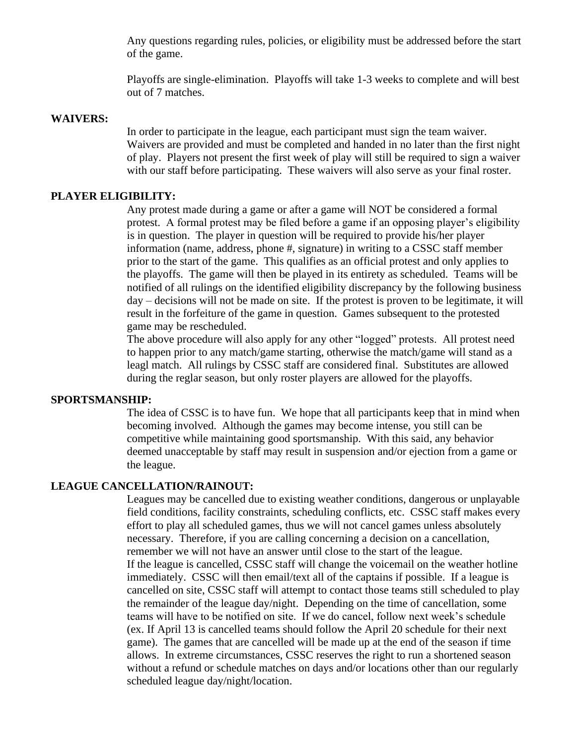Any questions regarding rules, policies, or eligibility must be addressed before the start of the game.

Playoffs are single-elimination. Playoffs will take 1-3 weeks to complete and will best out of 7 matches.

### **WAIVERS:**

In order to participate in the league, each participant must sign the team waiver. Waivers are provided and must be completed and handed in no later than the first night of play. Players not present the first week of play will still be required to sign a waiver with our staff before participating. These waivers will also serve as your final roster.

### **PLAYER ELIGIBILITY:**

Any protest made during a game or after a game will NOT be considered a formal protest. A formal protest may be filed before a game if an opposing player's eligibility is in question. The player in question will be required to provide his/her player information (name, address, phone #, signature) in writing to a CSSC staff member prior to the start of the game. This qualifies as an official protest and only applies to the playoffs. The game will then be played in its entirety as scheduled. Teams will be notified of all rulings on the identified eligibility discrepancy by the following business day – decisions will not be made on site. If the protest is proven to be legitimate, it will result in the forfeiture of the game in question. Games subsequent to the protested game may be rescheduled.

The above procedure will also apply for any other "logged" protests. All protest need to happen prior to any match/game starting, otherwise the match/game will stand as a leagl match. All rulings by CSSC staff are considered final. Substitutes are allowed during the reglar season, but only roster players are allowed for the playoffs.

#### **SPORTSMANSHIP:**

The idea of CSSC is to have fun. We hope that all participants keep that in mind when becoming involved. Although the games may become intense, you still can be competitive while maintaining good sportsmanship. With this said, any behavior deemed unacceptable by staff may result in suspension and/or ejection from a game or the league.

## **LEAGUE CANCELLATION/RAINOUT:**

Leagues may be cancelled due to existing weather conditions, dangerous or unplayable field conditions, facility constraints, scheduling conflicts, etc. CSSC staff makes every effort to play all scheduled games, thus we will not cancel games unless absolutely necessary. Therefore, if you are calling concerning a decision on a cancellation, remember we will not have an answer until close to the start of the league. If the league is cancelled, CSSC staff will change the voicemail on the weather hotline immediately. CSSC will then email/text all of the captains if possible. If a league is cancelled on site, CSSC staff will attempt to contact those teams still scheduled to play the remainder of the league day/night. Depending on the time of cancellation, some teams will have to be notified on site. If we do cancel, follow next week's schedule (ex. If April 13 is cancelled teams should follow the April 20 schedule for their next game). The games that are cancelled will be made up at the end of the season if time allows. In extreme circumstances, CSSC reserves the right to run a shortened season without a refund or schedule matches on days and/or locations other than our regularly scheduled league day/night/location.